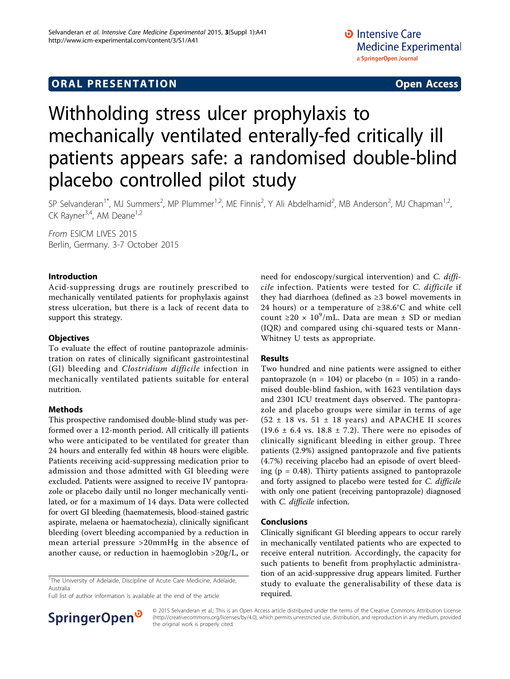# **ORAL PRESENTATION OPEN ACCESS**

# Withholding stress ulcer prophylaxis to mechanically ventilated enterally-fed critically ill patients appears safe: a randomised double-blind placebo controlled pilot study

SP Selvanderan<sup>1\*</sup>, MJ Summers<sup>2</sup>, MP Plummer<sup>1,2</sup>, ME Finnis<sup>2</sup>, Y Ali Abdelhamid<sup>2</sup>, MB Anderson<sup>2</sup>, MJ Chapman<sup>1,2</sup>, CK Rayner<sup>3,4</sup>, AM Deane<sup>1,2</sup>

From ESICM LIVES 2015 Berlin, Germany. 3-7 October 2015

#### Introduction

Acid-suppressing drugs are routinely prescribed to mechanically ventilated patients for prophylaxis against stress ulceration, but there is a lack of recent data to support this strategy.

### **Objectives**

To evaluate the effect of routine pantoprazole administration on rates of clinically significant gastrointestinal (GI) bleeding and Clostridium difficile infection in mechanically ventilated patients suitable for enteral nutrition.

## Methods

This prospective randomised double-blind study was performed over a 12-month period. All critically ill patients who were anticipated to be ventilated for greater than 24 hours and enterally fed within 48 hours were eligible. Patients receiving acid-suppressing medication prior to admission and those admitted with GI bleeding were excluded. Patients were assigned to receive IV pantoprazole or placebo daily until no longer mechanically ventilated, or for a maximum of 14 days. Data were collected for overt GI bleeding (haematemesis, blood-stained gastric aspirate, melaena or haematochezia), clinically significant bleeding (overt bleeding accompanied by a reduction in mean arterial pressure >20mmHg in the absence of another cause, or reduction in haemoglobin >20g/L, or

<sup>1</sup>The University of Adelaide, Discipline of Acute Care Medicine, Adelaide, Australia

Full list of author information is available at the end of the article



need for endoscopy/surgical intervention) and C. difficile infection. Patients were tested for C. difficile if they had diarrhoea (defined as ≥3 bowel movements in 24 hours) or a temperature of ≥38.6°C and white cell count ≥20 ×  $10^9$ /mL. Data are mean ± SD or median (IQR) and compared using chi-squared tests or Mann-Whitney U tests as appropriate.

#### Results

Two hundred and nine patients were assigned to either pantoprazole ( $n = 104$ ) or placebo ( $n = 105$ ) in a randomised double-blind fashion, with 1623 ventilation days and 2301 ICU treatment days observed. The pantoprazole and placebo groups were similar in terms of age  $(52 \pm 18 \text{ vs. } 51 \pm 18 \text{ years})$  and APACHE II scores  $(19.6 \pm 6.4 \text{ vs. } 18.8 \pm 7.2)$ . There were no episodes of clinically significant bleeding in either group. Three patients (2.9%) assigned pantoprazole and five patients (4.7%) receiving placebo had an episode of overt bleeding ( $p = 0.48$ ). Thirty patients assigned to pantoprazole and forty assigned to placebo were tested for C. difficile with only one patient (receiving pantoprazole) diagnosed with *C. difficile* infection.

#### Conclusions

Clinically significant GI bleeding appears to occur rarely in mechanically ventilated patients who are expected to receive enteral nutrition. Accordingly, the capacity for such patients to benefit from prophylactic administration of an acid-suppressive drug appears limited. Further study to evaluate the generalisability of these data is required.

© 2015 Selvanderan et al.; This is an Open Access article distributed under the terms of the Creative Commons Attribution License [\(http://creativecommons.org/licenses/by/4.0](http://creativecommons.org/licenses/by/4.0)), which permits unrestricted use, distribution, and reproduction in any medium, provided the original work is properly cited.